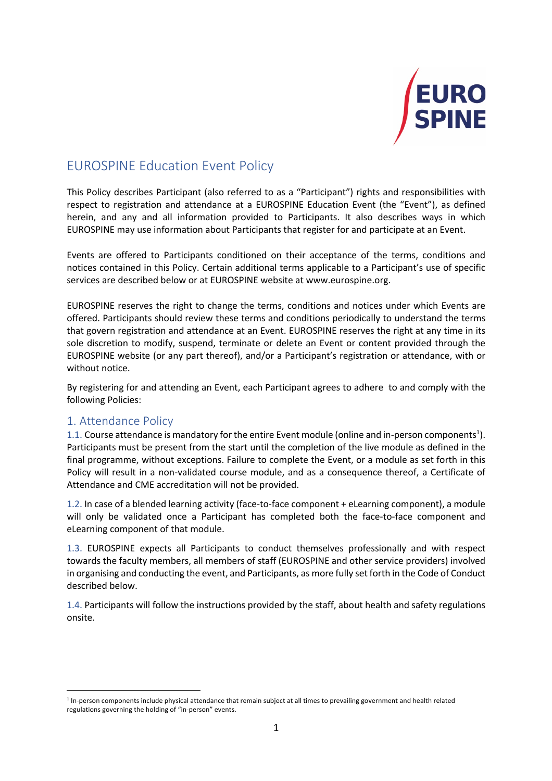

# EUROSPINE Education Event Policy

This Policy describes Participant (also referred to as a "Participant") rights and responsibilities with respect to registration and attendance at a EUROSPINE Education Event (the "Event"), as defined herein, and any and all information provided to Participants. It also describes ways in which EUROSPINE may use information about Participants that register for and participate at an Event.

Events are offered to Participants conditioned on their acceptance of the terms, conditions and notices contained in this Policy. Certain additional terms applicable to a Participant's use of specific services are described below or at EUROSPINE website at www.eurospine.org.

EUROSPINE reserves the right to change the terms, conditions and notices under which Events are offered. Participants should review these terms and conditions periodically to understand the terms that govern registration and attendance at an Event. EUROSPINE reserves the right at any time in its sole discretion to modify, suspend, terminate or delete an Event or content provided through the EUROSPINE website (or any part thereof), and/or a Participant's registration or attendance, with or without notice.

By registering for and attending an Event, each Participant agrees to adhere to and comply with the following Policies:

# 1. Attendance Policy

1.1. Course attendance is mandatory for the entire Event module (online and in-person components<sup>1</sup>). Participants must be present from the start until the completion of the live module as defined in the final programme, without exceptions. Failure to complete the Event, or a module as set forth in this Policy will result in a non-validated course module, and as a consequence thereof, a Certificate of Attendance and CME accreditation will not be provided.

1.2. In case of a blended learning activity (face-to-face component + eLearning component), a module will only be validated once a Participant has completed both the face-to-face component and eLearning component of that module.

1.3. EUROSPINE expects all Participants to conduct themselves professionally and with respect towards the faculty members, all members of staff (EUROSPINE and other service providers) involved in organising and conducting the event, and Participants, as more fully set forth in the Code of Conduct described below.

1.4. Participants will follow the instructions provided by the staff, about health and safety regulations onsite.

 $1$  In-person components include physical attendance that remain subject at all times to prevailing government and health related regulations governing the holding of "in-person" events.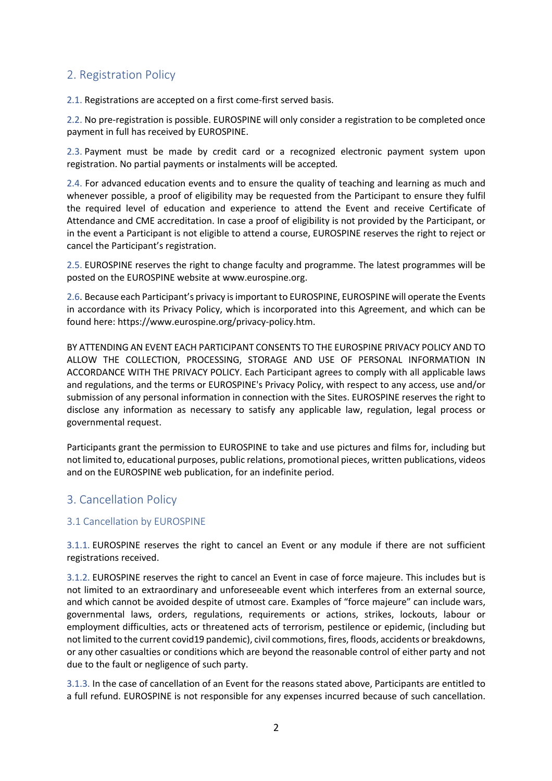# 2. Registration Policy

2.1. Registrations are accepted on a first come-first served basis.

2.2. No pre-registration is possible. EUROSPINE will only consider a registration to be completed once payment in full has received by EUROSPINE.

2.3. Payment must be made by credit card or a recognized electronic payment system upon registration. No partial payments or instalments will be accepted*.*

2.4. For advanced education events and to ensure the quality of teaching and learning as much and whenever possible, a proof of eligibility may be requested from the Participant to ensure they fulfil the required level of education and experience to attend the Event and receive Certificate of Attendance and CME accreditation. In case a proof of eligibility is not provided by the Participant, or in the event a Participant is not eligible to attend a course, EUROSPINE reserves the right to reject or cancel the Participant's registration.

2.5. EUROSPINE reserves the right to change faculty and programme. The latest programmes will be posted on the EUROSPINE website at www.eurospine.org.

2.6. Because each Participant's privacy is important to EUROSPINE, EUROSPINE will operate the Events in accordance with its Privacy Policy, which is incorporated into this Agreement, and which can be found here: https://www.eurospine.org/privacy-policy.htm.

BY ATTENDING AN EVENT EACH PARTICIPANT CONSENTS TO THE EUROSPINE PRIVACY POLICY AND TO ALLOW THE COLLECTION, PROCESSING, STORAGE AND USE OF PERSONAL INFORMATION IN ACCORDANCE WITH THE PRIVACY POLICY. Each Participant agrees to comply with all applicable laws and regulations, and the terms or EUROSPINE's Privacy Policy, with respect to any access, use and/or submission of any personal information in connection with the Sites. EUROSPINE reserves the right to disclose any information as necessary to satisfy any applicable law, regulation, legal process or governmental request.

Participants grant the permission to EUROSPINE to take and use pictures and films for, including but not limited to, educational purposes, public relations, promotional pieces, written publications, videos and on the EUROSPINE web publication, for an indefinite period.

# 3. Cancellation Policy

### 3.1 Cancellation by EUROSPINE

3.1.1. EUROSPINE reserves the right to cancel an Event or any module if there are not sufficient registrations received.

3.1.2. EUROSPINE reserves the right to cancel an Event in case of force majeure. This includes but is not limited to an extraordinary and unforeseeable event which interferes from an external source, and which cannot be avoided despite of utmost care. Examples of "force majeure" can include wars, governmental laws, orders, regulations, requirements or actions, strikes, lockouts, labour or employment difficulties, acts or threatened acts of terrorism, pestilence or epidemic, (including but not limited to the current covid19 pandemic), civil commotions, fires, floods, accidents or breakdowns, or any other casualties or conditions which are beyond the reasonable control of either party and not due to the fault or negligence of such party.

3.1.3. In the case of cancellation of an Event for the reasons stated above, Participants are entitled to a full refund. EUROSPINE is not responsible for any expenses incurred because of such cancellation.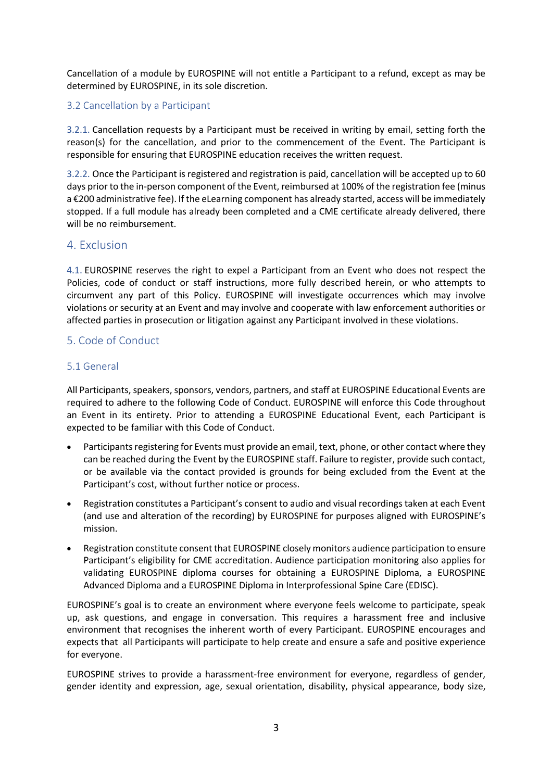Cancellation of a module by EUROSPINE will not entitle a Participant to a refund, except as may be determined by EUROSPINE, in its sole discretion.

### 3.2 Cancellation by a Participant

3.2.1. Cancellation requests by a Participant must be received in writing by email, setting forth the reason(s) for the cancellation, and prior to the commencement of the Event. The Participant is responsible for ensuring that EUROSPINE education receives the written request.

3.2.2. Once the Participant is registered and registration is paid, cancellation will be accepted up to 60 days prior to the in-person component of the Event, reimbursed at 100% of the registration fee (minus a €200 administrative fee). If the eLearning component has already started, access will be immediately stopped. If a full module has already been completed and a CME certificate already delivered, there will be no reimbursement.

## 4. Exclusion

4.1. EUROSPINE reserves the right to expel a Participant from an Event who does not respect the Policies, code of conduct or staff instructions, more fully described herein, or who attempts to circumvent any part of this Policy. EUROSPINE will investigate occurrences which may involve violations or security at an Event and may involve and cooperate with law enforcement authorities or affected parties in prosecution or litigation against any Participant involved in these violations.

## 5. Code of Conduct

### 5.1 General

All Participants, speakers, sponsors, vendors, partners, and staff at EUROSPINE Educational Events are required to adhere to the following Code of Conduct. EUROSPINE will enforce this Code throughout an Event in its entirety. Prior to attending a EUROSPINE Educational Event, each Participant is expected to be familiar with this Code of Conduct.

- Participants registering for Events must provide an email, text, phone, or other contact where they can be reached during the Event by the EUROSPINE staff. Failure to register, provide such contact, or be available via the contact provided is grounds for being excluded from the Event at the Participant's cost, without further notice or process.
- Registration constitutes a Participant's consent to audio and visual recordings taken at each Event (and use and alteration of the recording) by EUROSPINE for purposes aligned with EUROSPINE's mission.
- Registration constitute consent that EUROSPINE closely monitors audience participation to ensure Participant's eligibility for CME accreditation. Audience participation monitoring also applies for validating EUROSPINE diploma courses for obtaining a EUROSPINE Diploma, a EUROSPINE Advanced Diploma and a EUROSPINE Diploma in Interprofessional Spine Care (EDISC).

EUROSPINE's goal is to create an environment where everyone feels welcome to participate, speak up, ask questions, and engage in conversation. This requires a harassment free and inclusive environment that recognises the inherent worth of every Participant. EUROSPINE encourages and expects that all Participants will participate to help create and ensure a safe and positive experience for everyone.

EUROSPINE strives to provide a harassment-free environment for everyone, regardless of gender, gender identity and expression, age, sexual orientation, disability, physical appearance, body size,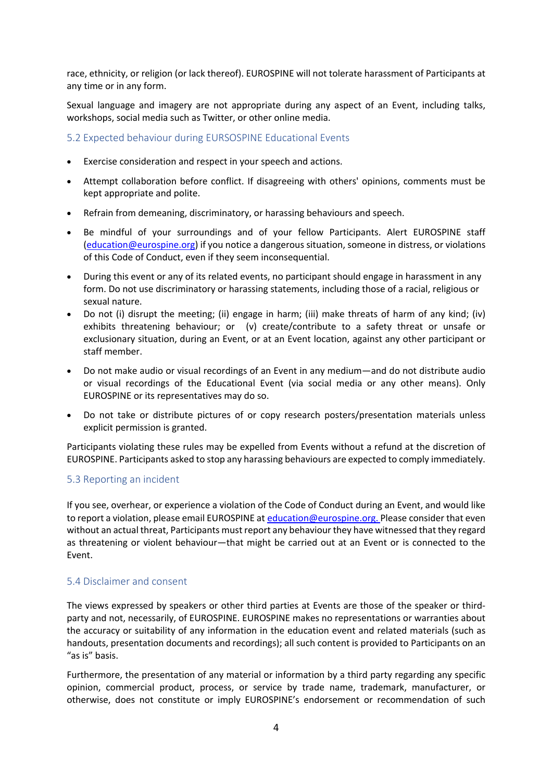race, ethnicity, or religion (or lack thereof). EUROSPINE will not tolerate harassment of Participants at any time or in any form.

Sexual language and imagery are not appropriate during any aspect of an Event, including talks, workshops, social media such as Twitter, or other online media.

#### 5.2 Expected behaviour during EURSOSPINE Educational Events

- Exercise consideration and respect in your speech and actions.
- Attempt collaboration before conflict. If disagreeing with others' opinions, comments must be kept appropriate and polite.
- Refrain from demeaning, discriminatory, or harassing behaviours and speech.
- Be mindful of your surroundings and of your fellow Participants. Alert EUROSPINE staff (education@eurospine.org) if you notice a dangerous situation, someone in distress, or violations of this Code of Conduct, even if they seem inconsequential.
- During this event or any of its related events, no participant should engage in harassment in any form. Do not use discriminatory or harassing statements, including those of a racial, religious or sexual nature.
- Do not (i) disrupt the meeting; (ii) engage in harm; (iii) make threats of harm of any kind; (iv) exhibits threatening behaviour; or (v) create/contribute to a safety threat or unsafe or exclusionary situation, during an Event, or at an Event location, against any other participant or staff member.
- Do not make audio or visual recordings of an Event in any medium—and do not distribute audio or visual recordings of the Educational Event (via social media or any other means). Only EUROSPINE or its representatives may do so.
- Do not take or distribute pictures of or copy research posters/presentation materials unless explicit permission is granted.

Participants violating these rules may be expelled from Events without a refund at the discretion of EUROSPINE. Participants asked to stop any harassing behaviours are expected to comply immediately.

### 5.3 Reporting an incident

If you see, overhear, or experience a violation of the Code of Conduct during an Event, and would like to report a violation, please email EUROSPINE at education@eurospine.org. Please consider that even without an actual threat, Participants must report any behaviour they have witnessed that they regard as threatening or violent behaviour—that might be carried out at an Event or is connected to the Event.

### 5.4 Disclaimer and consent

The views expressed by speakers or other third parties at Events are those of the speaker or thirdparty and not, necessarily, of EUROSPINE. EUROSPINE makes no representations or warranties about the accuracy or suitability of any information in the education event and related materials (such as handouts, presentation documents and recordings); all such content is provided to Participants on an "as is" basis.

Furthermore, the presentation of any material or information by a third party regarding any specific opinion, commercial product, process, or service by trade name, trademark, manufacturer, or otherwise, does not constitute or imply EUROSPINE's endorsement or recommendation of such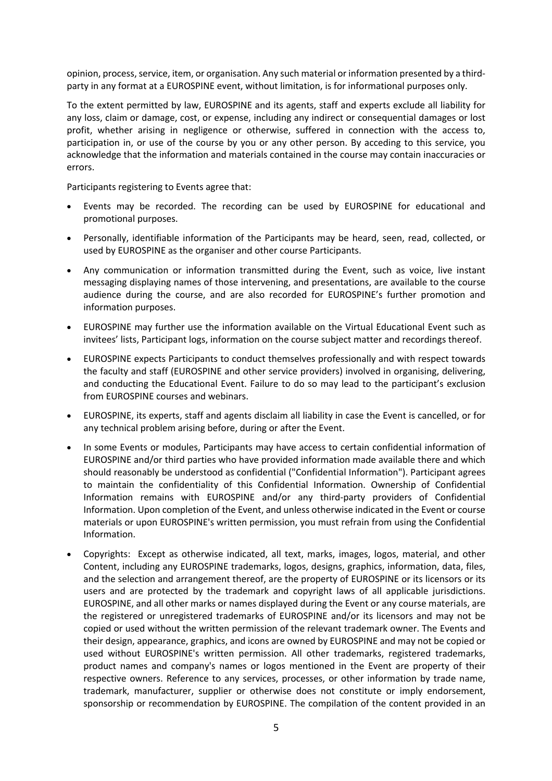opinion, process, service, item, or organisation. Any such material or information presented by a thirdparty in any format at a EUROSPINE event, without limitation, is for informational purposes only.

To the extent permitted by law, EUROSPINE and its agents, staff and experts exclude all liability for any loss, claim or damage, cost, or expense, including any indirect or consequential damages or lost profit, whether arising in negligence or otherwise, suffered in connection with the access to, participation in, or use of the course by you or any other person. By acceding to this service, you acknowledge that the information and materials contained in the course may contain inaccuracies or errors.

Participants registering to Events agree that:

- Events may be recorded. The recording can be used by EUROSPINE for educational and promotional purposes.
- Personally, identifiable information of the Participants may be heard, seen, read, collected, or used by EUROSPINE as the organiser and other course Participants.
- Any communication or information transmitted during the Event, such as voice, live instant messaging displaying names of those intervening, and presentations, are available to the course audience during the course, and are also recorded for EUROSPINE's further promotion and information purposes.
- EUROSPINE may further use the information available on the Virtual Educational Event such as invitees' lists, Participant logs, information on the course subject matter and recordings thereof.
- EUROSPINE expects Participants to conduct themselves professionally and with respect towards the faculty and staff (EUROSPINE and other service providers) involved in organising, delivering, and conducting the Educational Event. Failure to do so may lead to the participant's exclusion from EUROSPINE courses and webinars.
- EUROSPINE, its experts, staff and agents disclaim all liability in case the Event is cancelled, or for any technical problem arising before, during or after the Event.
- In some Events or modules, Participants may have access to certain confidential information of EUROSPINE and/or third parties who have provided information made available there and which should reasonably be understood as confidential ("Confidential Information"). Participant agrees to maintain the confidentiality of this Confidential Information. Ownership of Confidential Information remains with EUROSPINE and/or any third-party providers of Confidential Information. Upon completion of the Event, and unless otherwise indicated in the Event or course materials or upon EUROSPINE's written permission, you must refrain from using the Confidential Information.
- Copyrights: Except as otherwise indicated, all text, marks, images, logos, material, and other Content, including any EUROSPINE trademarks, logos, designs, graphics, information, data, files, and the selection and arrangement thereof, are the property of EUROSPINE or its licensors or its users and are protected by the trademark and copyright laws of all applicable jurisdictions. EUROSPINE, and all other marks or names displayed during the Event or any course materials, are the registered or unregistered trademarks of EUROSPINE and/or its licensors and may not be copied or used without the written permission of the relevant trademark owner. The Events and their design, appearance, graphics, and icons are owned by EUROSPINE and may not be copied or used without EUROSPINE's written permission. All other trademarks, registered trademarks, product names and company's names or logos mentioned in the Event are property of their respective owners. Reference to any services, processes, or other information by trade name, trademark, manufacturer, supplier or otherwise does not constitute or imply endorsement, sponsorship or recommendation by EUROSPINE. The compilation of the content provided in an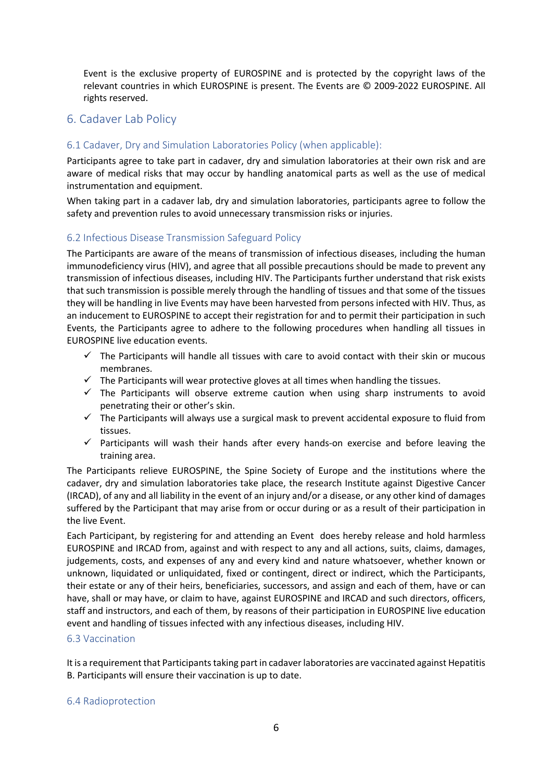Event is the exclusive property of EUROSPINE and is protected by the copyright laws of the relevant countries in which EUROSPINE is present. The Events are © 2009-2022 EUROSPINE. All rights reserved.

# 6. Cadaver Lab Policy

# 6.1 Cadaver, Dry and Simulation Laboratories Policy (when applicable):

Participants agree to take part in cadaver, dry and simulation laboratories at their own risk and are aware of medical risks that may occur by handling anatomical parts as well as the use of medical instrumentation and equipment.

When taking part in a cadaver lab, dry and simulation laboratories, participants agree to follow the safety and prevention rules to avoid unnecessary transmission risks or injuries.

## 6.2 Infectious Disease Transmission Safeguard Policy

The Participants are aware of the means of transmission of infectious diseases, including the human immunodeficiency virus (HIV), and agree that all possible precautions should be made to prevent any transmission of infectious diseases, including HIV. The Participants further understand that risk exists that such transmission is possible merely through the handling of tissues and that some of the tissues they will be handling in live Events may have been harvested from persons infected with HIV. Thus, as an inducement to EUROSPINE to accept their registration for and to permit their participation in such Events, the Participants agree to adhere to the following procedures when handling all tissues in EUROSPINE live education events.

- $\checkmark$  The Participants will handle all tissues with care to avoid contact with their skin or mucous membranes.
- $\checkmark$  The Participants will wear protective gloves at all times when handling the tissues.
- $\checkmark$  The Participants will observe extreme caution when using sharp instruments to avoid penetrating their or other's skin.
- $\checkmark$  The Participants will always use a surgical mask to prevent accidental exposure to fluid from tissues.
- $\checkmark$  Participants will wash their hands after every hands-on exercise and before leaving the training area.

The Participants relieve EUROSPINE, the Spine Society of Europe and the institutions where the cadaver, dry and simulation laboratories take place, the research Institute against Digestive Cancer (IRCAD), of any and all liability in the event of an injury and/or a disease, or any other kind of damages suffered by the Participant that may arise from or occur during or as a result of their participation in the live Event.

Each Participant, by registering for and attending an Event does hereby release and hold harmless EUROSPINE and IRCAD from, against and with respect to any and all actions, suits, claims, damages, judgements, costs, and expenses of any and every kind and nature whatsoever, whether known or unknown, liquidated or unliquidated, fixed or contingent, direct or indirect, which the Participants, their estate or any of their heirs, beneficiaries, successors, and assign and each of them, have or can have, shall or may have, or claim to have, against EUROSPINE and IRCAD and such directors, officers, staff and instructors, and each of them, by reasons of their participation in EUROSPINE live education event and handling of tissues infected with any infectious diseases, including HIV.

### 6.3 Vaccination

It is a requirement that Participants taking part in cadaver laboratories are vaccinated against Hepatitis B. Participants will ensure their vaccination is up to date.

#### 6.4 Radioprotection